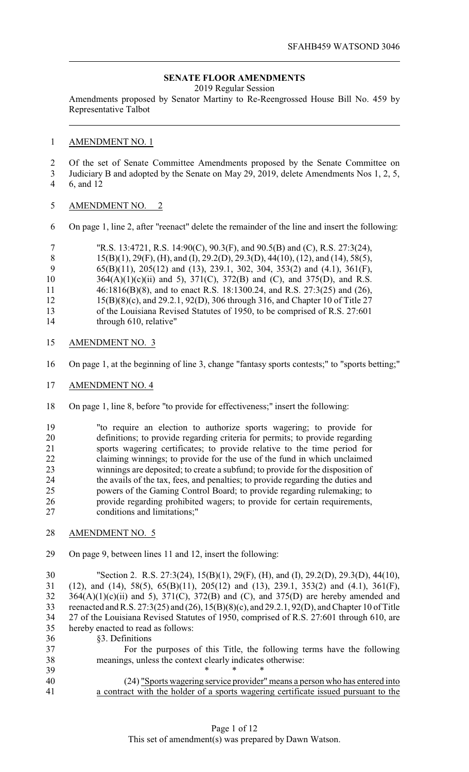## **SENATE FLOOR AMENDMENTS**

2019 Regular Session

Amendments proposed by Senator Martiny to Re-Reengrossed House Bill No. 459 by Representative Talbot

## AMENDMENT NO. 1

- Of the set of Senate Committee Amendments proposed by the Senate Committee on
- Judiciary B and adopted by the Senate on May 29, 2019, delete Amendments Nos 1, 2, 5, 6, and 12
- AMENDMENT NO. 2
- On page 1, line 2, after "reenact" delete the remainder of the line and insert the following:

|     | "R.S. 13:4721, R.S. 14:90(C), 90.3(F), and 90.5(B) and (C), R.S. 27:3(24),                       |
|-----|--------------------------------------------------------------------------------------------------|
| - 8 | $15(B)(1)$ , $29(F)$ , (H), and (I), $29.2(D)$ , $29.3(D)$ , $44(10)$ , (12), and (14), 58(5),   |
| -9  | $65(B)(11)$ , $205(12)$ and $(13)$ , $239.1$ , $302$ , $304$ , $353(2)$ and $(4.1)$ , $361(F)$ , |
| 10  | $364(A)(1)(c)(ii)$ and 5), $371(C)$ , $372(B)$ and (C), and $375(D)$ , and R.S.                  |
| 11  | 46:1816(B)(8), and to enact R.S. 18:1300.24, and R.S. 27:3(25) and (26),                         |
| 12  | 15(B)(8)(c), and 29.2.1, 92(D), 306 through 316, and Chapter 10 of Title 27                      |
| 13  | of the Louisiana Revised Statutes of 1950, to be comprised of R.S. 27:601                        |
| 14  | through 610, relative"                                                                           |

- AMENDMENT NO. 3
- On page 1, at the beginning of line 3, change "fantasy sports contests;" to "sports betting;"
- AMENDMENT NO. 4
- On page 1, line 8, before "to provide for effectiveness;" insert the following:
- "to require an election to authorize sports wagering; to provide for definitions; to provide regarding criteria for permits; to provide regarding sports wagering certificates; to provide relative to the time period for claiming winnings; to provide for the use of the fund in which unclaimed winnings are deposited; to create a subfund; to provide for the disposition of the avails of the tax, fees, and penalties; to provide regarding the duties and powers of the Gaming Control Board; to provide regarding rulemaking; to provide regarding prohibited wagers; to provide for certain requirements, conditions and limitations;"
- AMENDMENT NO. 5
- On page 9, between lines 11 and 12, insert the following:

 "Section 2. R.S. 27:3(24), 15(B)(1), 29(F), (H), and (I), 29.2(D), 29.3(D), 44(10), (12), and (14), 58(5), 65(B)(11), 205(12) and (13), 239.1, 353(2) and (4.1), 361(F), 364(A)(1)(c)(ii) and 5), 371(C), 372(B) and (C), and 375(D) are hereby amended and reenacted and R.S. 27:3(25) and (26), 15(B)(8)(c), and 29.2.1, 92(D), and Chapter 10 of Title 27 of the Louisiana Revised Statutes of 1950, comprised of R.S. 27:601 through 610, are hereby enacted to read as follows:

§3. Definitions

| 37 | For the purposes of this Title, the following terms have the following |  |  |  |  |
|----|------------------------------------------------------------------------|--|--|--|--|
| 38 | meanings, unless the context clearly indicates otherwise:              |  |  |  |  |
| 39 |                                                                        |  |  |  |  |

 (24) "Sports wagering service provider"means a person who has entered into a contract with the holder of a sports wagering certificate issued pursuant to the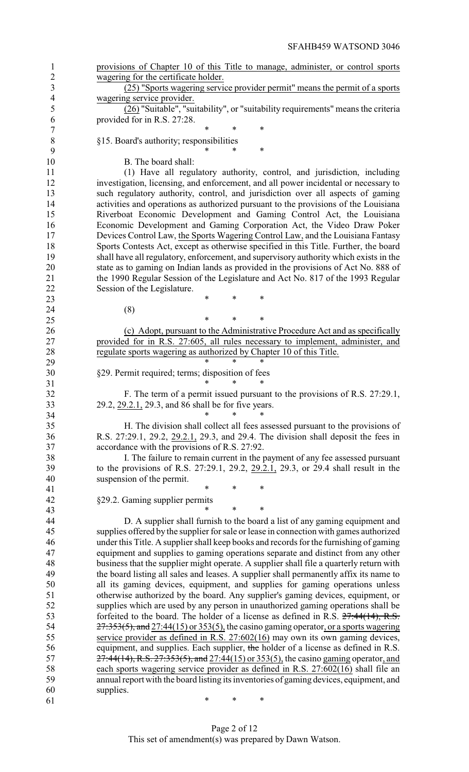| $\mathbf{1}$             | provisions of Chapter 10 of this Title to manage, administer, or control sports         |
|--------------------------|-----------------------------------------------------------------------------------------|
| $\mathbf{2}$             | wagering for the certificate holder.                                                    |
| $\overline{3}$           | (25) "Sports wagering service provider permit" means the permit of a sports             |
| $\overline{\mathcal{A}}$ | wagering service provider.                                                              |
| 5                        | (26) "Suitable", "suitability", or "suitability requirements" means the criteria        |
| 6                        | provided for in R.S. 27:28.                                                             |
| 7                        | *<br>$\ast$<br>*                                                                        |
| $8\,$                    | §15. Board's authority; responsibilities                                                |
| 9                        | *<br>*                                                                                  |
| 10                       | B. The board shall:                                                                     |
| 11                       | (1) Have all regulatory authority, control, and jurisdiction, including                 |
| 12                       | investigation, licensing, and enforcement, and all power incidental or necessary to     |
| 13                       | such regulatory authority, control, and jurisdiction over all aspects of gaming         |
| 14                       | activities and operations as authorized pursuant to the provisions of the Louisiana     |
| 15                       | Riverboat Economic Development and Gaming Control Act, the Louisiana                    |
| 16                       | Economic Development and Gaming Corporation Act, the Video Draw Poker                   |
| 17                       | Devices Control Law, the Sports Wagering Control Law, and the Louisiana Fantasy         |
| 18                       | Sports Contests Act, except as otherwise specified in this Title. Further, the board    |
| 19                       | shall have all regulatory, enforcement, and supervisory authority which exists in the   |
| 20                       | state as to gaming on Indian lands as provided in the provisions of Act No. 888 of      |
| 21                       | the 1990 Regular Session of the Legislature and Act No. 817 of the 1993 Regular         |
| 22                       | Session of the Legislature.                                                             |
| 23                       | *<br>$\ast$<br>*                                                                        |
| 24                       |                                                                                         |
|                          | (8)<br>$\ast$<br>*<br>*                                                                 |
| 25                       |                                                                                         |
| 26                       | (c) Adopt, pursuant to the Administrative Procedure Act and as specifically             |
| 27                       | provided for in R.S. 27:605, all rules necessary to implement, administer, and          |
| 28                       | regulate sports wagering as authorized by Chapter 10 of this Title.<br>$\ast$<br>*      |
| 29                       |                                                                                         |
| 30                       | §29. Permit required; terms; disposition of fees<br>*<br>*                              |
| 31                       |                                                                                         |
| 32                       | F. The term of a permit issued pursuant to the provisions of R.S. 27:29.1,              |
| 33                       | 29.2, 29.2.1, 29.3, and 86 shall be for five years.<br>$\ast$<br>$\ast$                 |
| 34                       |                                                                                         |
| 35                       | H. The division shall collect all fees assessed pursuant to the provisions of           |
| 36                       | R.S. 27:29.1, 29.2, 29.2.1, 29.3, and 29.4. The division shall deposit the fees in      |
| 37                       | accordance with the provisions of R.S. 27:92.                                           |
| 38                       | I. The failure to remain current in the payment of any fee assessed pursuant            |
| 39                       | to the provisions of R.S. 27:29.1, 29.2, 29.2.1, 29.3, or 29.4 shall result in the      |
| 40                       | suspension of the permit.                                                               |
| 41                       | *<br>*<br>*                                                                             |
| 42                       | §29.2. Gaming supplier permits                                                          |
| 43                       | *<br>$\ast$                                                                             |
| 44                       | D. A supplier shall furnish to the board a list of any gaming equipment and             |
| 45                       | supplies offered by the supplier for sale or lease in connection with games authorized  |
| 46                       | under this Title. A supplier shall keep books and records for the furnishing of gaming  |
| 47                       | equipment and supplies to gaming operations separate and distinct from any other        |
| 48                       | business that the supplier might operate. A supplier shall file a quarterly return with |
| 49                       | the board listing all sales and leases. A supplier shall permanently affix its name to  |
| 50                       | all its gaming devices, equipment, and supplies for gaming operations unless            |
| 51                       | otherwise authorized by the board. Any supplier's gaming devices, equipment, or         |
| 52                       | supplies which are used by any person in unauthorized gaming operations shall be        |
| 53                       | forfeited to the board. The holder of a license as defined in R.S. $27:44(14)$ , R.S.   |
| 54                       | $27:353(5)$ , and 27:44(15) or 353(5), the casino gaming operator, or a sports wagering |
| 55                       | service provider as defined in R.S. 27:602(16) may own its own gaming devices,          |
| 56                       | equipment, and supplies. Each supplier, the holder of a license as defined in R.S.      |
| 57                       |                                                                                         |
|                          | 27:44(14), R.S. 27:353(5), and 27:44(15) or 353(5), the casino gaming operator, and     |
| 58                       | each sports wagering service provider as defined in R.S. 27:602(16) shall file an       |
| 59                       | annual report with the board listing its inventories of gaming devices, equipment, and  |
| 60                       | supplies.                                                                               |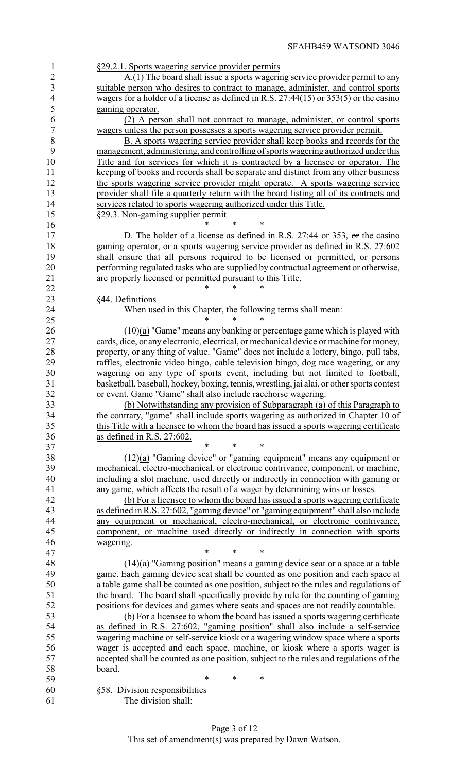|--|

 A.(1) The board shall issue a sports wagering service provider permit to any suitable person who desires to contract to manage, administer, and control sports wagers for a holder of a license as defined in R.S. 27:44(15) or 353(5) or the casino gaming operator.

 (2) A person shall not contract to manage, administer, or control sports wagers unless the person possesses a sports wagering service provider permit.

 B. A sports wagering service provider shall keep books and records for the management, administering, and controlling of sports wagering authorized underthis Title and for services for which it is contracted by a licensee or operator. The keeping of books and records shall be separate and distinct from any other business 12 the sports wagering service provider might operate. A sports wagering service provider shall file a quarterly return with the board listing all of its contracts and services related to sports wagering authorized under this Title. §29.3. Non-gaming supplier permit

16 \* \* \* \*

17 D. The holder of a license as defined in R.S. 27:44 or 353, or the casino 18 gaming operator, or a sports wagering service provider as defined in R.S. 27:602 shall ensure that all persons required to be licensed or permitted, or persons performing regulated tasks who are supplied by contractual agreement or otherwise, are properly licensed or permitted pursuant to this Title.

§44. Definitions

**\*** \* \* \*

24 When used in this Chapter, the following terms shall mean:<br>25

25 \* \* \* \* (10)(a) "Game" means any banking or percentage game which is played with cards, dice, or any electronic, electrical, or mechanical device or machine for money, property, or any thing of value. "Game" does not include a lottery, bingo, pull tabs, raffles, electronic video bingo, cable television bingo, dog race wagering, or any wagering on any type of sports event, including but not limited to football, basketball, baseball, hockey, boxing, tennis, wrestling, jai alai, or other sports contest 32 or event. Game "Game" shall also include racehorse wagering.

 (b) Notwithstanding any provision of Subparagraph (a) of this Paragraph to 34 the contrary, "game" shall include sports wagering as authorized in Chapter 10 of this Title with a licensee to whom the board has issued a sports wagering certificate this Title with a licensee to whom the board has issued a sports wagering certificate as defined in R.S. 27:602.

37 \* \* \* \* (12)(a) "Gaming device" or "gaming equipment" means any equipment or mechanical, electro-mechanical, or electronic contrivance, component, or machine, including a slot machine, used directly or indirectly in connection with gaming or any game, which affects the result of a wager by determining wins or losses.

 (b) For a licensee to whom the board has issued a sports wagering certificate as defined in R.S. 27:602, "gaming device" or "gaming equipment" shall also include any equipment or mechanical, electro-mechanical, or electronic contrivance, component, or machine used directly or indirectly in connection with sports wagering.

47 \* \* \* \* (14)(a) "Gaming position" means a gaming device seat or a space at a table game. Each gaming device seat shall be counted as one position and each space at a table game shall be counted as one position, subject to the rules and regulations of the board. The board shall specifically provide by rule for the counting of gaming positions for devices and games where seats and spaces are not readily countable.

 (b) For a licensee to whom the board has issued a sports wagering certificate as defined in R.S. 27:602, "gaming position" shall also include a self-service wagering machine or self-service kiosk or a wagering window space where a sports wager is accepted and each space, machine, or kiosk where a sports wager is accepted shall be counted as one position, subject to the rules and regulations of the board.

 \* \* \* §58. Division responsibilities The division shall: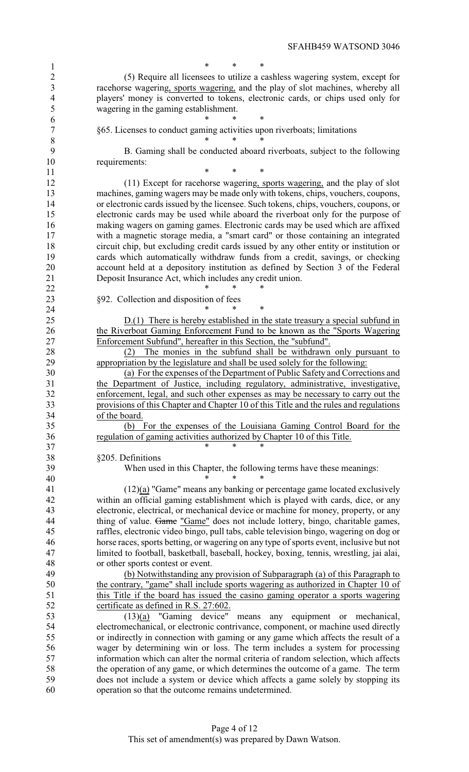SFAHB459 WATSOND 3046

1 \* \* \* \* (5) Require all licensees to utilize a cashless wagering system, except for racehorse wagering, sports wagering, and the play of slot machines, whereby all players' money is converted to tokens, electronic cards, or chips used only for wagering in the gaming establishment.

 \* \* \* §65. Licenses to conduct gaming activities upon riverboats; limitations

 \* \* \* B. Gaming shall be conducted aboard riverboats, subject to the following requirements:

**\* \* \*** \* (11) Except for racehorse wagering, sports wagering, and the play of slot machines, gaming wagers may be made only with tokens, chips, vouchers, coupons, or electronic cards issued by the licensee. Such tokens, chips, vouchers, coupons, or electronic cards may be used while aboard the riverboat only for the purpose of making wagers on gaming games. Electronic cards may be used which are affixed with a magnetic storage media, a "smart card" or those containing an integrated circuit chip, but excluding credit cards issued by any other entity or institution or cards which automatically withdraw funds from a credit, savings, or checking account held at a depository institution as defined by Section 3 of the Federal Deposit Insurance Act, which includes any credit union.

**\*** \* \* \* §92. Collection and disposition of fees

**\*** \* \* \* 25 D.(1) There is hereby established in the state treasury a special subfund in 26 the Riverboat Gaming Enforcement Fund to be known as the "Sports Wagering<br>27 Enforcement Subfund", hereafter in this Section, the "subfund". Enforcement Subfund", hereafter in this Section, the "subfund".

 (2) The monies in the subfund shall be withdrawn only pursuant to appropriation by the legislature and shall be used solely for the following:

 (a) For the expenses of the Department of Public Safety and Corrections and the Department of Justice, including regulatory, administrative, investigative, enforcement, legal, and such other expenses as may be necessary to carry out the provisions of this Chapter and Chapter 10 of this Title and the rules and regulations  $\frac{34}{35}$  of the board.

 (b) For the expenses of the Louisiana Gaming Control Board for the regulation of gaming activities authorized by Chapter 10 of this Title.

37 \* \* \* \* §205. Definitions

When used in this Chapter, the following terms have these meanings:

\* \* \*

 (12)(a) "Game" means any banking or percentage game located exclusively within an official gaming establishment which is played with cards, dice, or any electronic, electrical, or mechanical device or machine for money, property, or any 44 thing of value. Game "Game" does not include lottery, bingo, charitable games, raffles, electronic video bingo, pull tabs, cable television bingo, wagering on dog or horse races, sports betting, or wagering on any type of sports event, inclusive but not limited to football, basketball, baseball, hockey, boxing, tennis, wrestling, jai alai, or other sports contest or event.

 (b) Notwithstanding any provision of Subparagraph (a) of this Paragraph to the contrary, "game" shall include sports wagering as authorized in Chapter 10 of this Title if the board has issued the casino gaming operator a sports wagering 52 certificate as defined in R.S. 27:602.

 $(13)(a)$  "Gaming device" means any equipment or mechanical,<br>54 electromechanical, or electronic contrivance, component, or machine used directly electromechanical, or electronic contrivance, component, or machine used directly or indirectly in connection with gaming or any game which affects the result of a wager by determining win or loss. The term includes a system for processing information which can alter the normal criteria of random selection, which affects the operation of any game, or which determines the outcome of a game. The term does not include a system or device which affects a game solely by stopping its operation so that the outcome remains undetermined.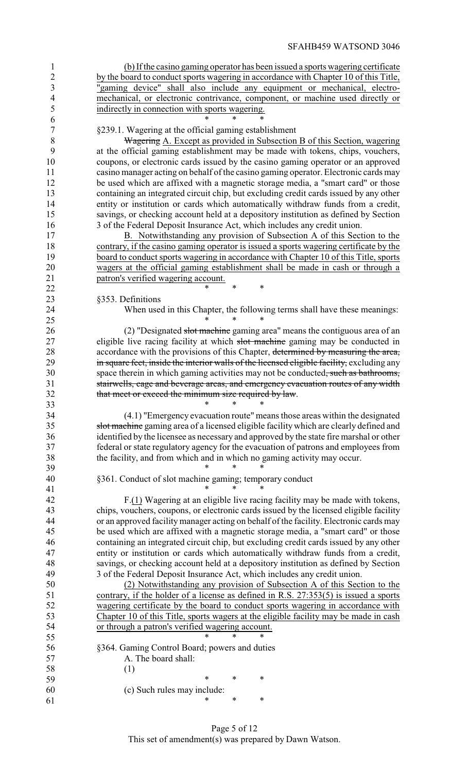| $\overline{4}$   | mechanical, or electronic contrivance, component, or machine used directly or              |
|------------------|--------------------------------------------------------------------------------------------|
| 5                | indirectly in connection with sports wagering.                                             |
| 6                |                                                                                            |
| $\boldsymbol{7}$ | §239.1. Wagering at the official gaming establishment                                      |
| $8\,$            | <b>Wagering</b> A. Except as provided in Subsection B of this Section, wagering            |
| 9                | at the official gaming establishment may be made with tokens, chips, vouchers,             |
| 10               | coupons, or electronic cards issued by the casino gaming operator or an approved           |
| 11               | casino manager acting on behalf of the casino gaming operator. Electronic cards may        |
| 12               | be used which are affixed with a magnetic storage media, a "smart card" or those           |
| 13               | containing an integrated circuit chip, but excluding credit cards issued by any other      |
| 14               | entity or institution or cards which automatically withdraw funds from a credit,           |
| 15               | savings, or checking account held at a depository institution as defined by Section        |
| 16               | 3 of the Federal Deposit Insurance Act, which includes any credit union.                   |
| 17               | B. Notwithstanding any provision of Subsection A of this Section to the                    |
| 18               |                                                                                            |
|                  | contrary, if the casino gaming operator is issued a sports wagering certificate by the     |
| 19               | board to conduct sports wagering in accordance with Chapter 10 of this Title, sports       |
| 20               | wagers at the official gaming establishment shall be made in cash or through a             |
| 21               | patron's verified wagering account.<br>*<br>*                                              |
| 22               |                                                                                            |
| 23               | §353. Definitions                                                                          |
| 24               | When used in this Chapter, the following terms shall have these meanings:                  |
| 25               |                                                                                            |
| 26               | (2) "Designated slot machine gaming area" means the contiguous area of an                  |
| 27               | eligible live racing facility at which slot machine gaming may be conducted in             |
| 28               | accordance with the provisions of this Chapter, determined by measuring the area,          |
| 29               | in square feet, inside the interior walls of the licensed eligible facility, excluding any |
| 30               | space therein in which gaming activities may not be conducted, such as bathrooms,          |
| 31               | stairwells, cage and beverage areas, and emergency evacuation routes of any width          |
| 32               | that meet or exceed the minimum size required by law.                                      |
| 33               | $\ast$<br>$^{\ast}$                                                                        |
| 34               | (4.1) "Emergency evacuation route" means those areas within the designated                 |
| 35               | slot machine gaming area of a licensed eligible facility which are clearly defined and     |
| 36               | identified by the licensee as necessary and approved by the state fire marshal or other    |
| 37               | federal or state regulatory agency for the evacuation of patrons and employees from        |
| 38               | the facility, and from which and in which no gaming activity may occur.                    |
| 39               |                                                                                            |
| 40               | §361. Conduct of slot machine gaming; temporary conduct                                    |
| 41               |                                                                                            |
| 42               | F.(1) Wagering at an eligible live racing facility may be made with tokens,                |
| 43               | chips, vouchers, coupons, or electronic cards issued by the licensed eligible facility     |
| 44               | or an approved facility manager acting on behalf of the facility. Electronic cards may     |
| 45               | be used which are affixed with a magnetic storage media, a "smart card" or those           |
| 46               | containing an integrated circuit chip, but excluding credit cards issued by any other      |
| 47               | entity or institution or cards which automatically withdraw funds from a credit,           |
| 48               | savings, or checking account held at a depository institution as defined by Section        |
| 49               | 3 of the Federal Deposit Insurance Act, which includes any credit union.                   |
| 50               |                                                                                            |
|                  | (2) Notwithstanding any provision of Subsection A of this Section to the                   |
| 51               | contrary, if the holder of a license as defined in R.S. 27:353(5) is issued a sports       |
| 52               | wagering certificate by the board to conduct sports wagering in accordance with            |
| 53               | Chapter 10 of this Title, sports wagers at the eligible facility may be made in cash       |
| 54               | or through a patron's verified wagering account.                                           |
| 55               |                                                                                            |
| 56               | §364. Gaming Control Board; powers and duties                                              |
| 57               | A. The board shall:                                                                        |

 (b) If the casino gaming operator has been issued a sports wagering certificate 2 by the board to conduct sports wagering in accordance with Chapter 10 of this Title, "gaming device" shall also include any equipment or mechanical, electro-

Page 5 of 12 This set of amendment(s) was prepared by Dawn Watson.

 $\frac{58}{59}$  (1)

\* \* \*

61 \* \* \* \*

(c) Such rules may include: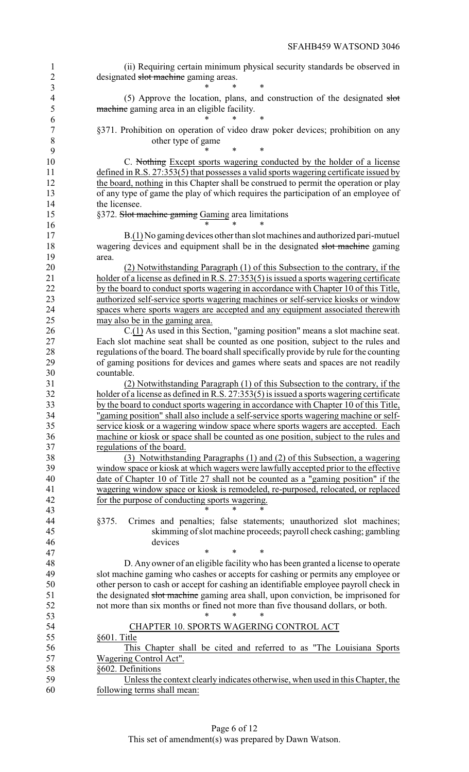| $\mathbf{1}$<br>$\overline{c}$ | (ii) Requiring certain minimum physical security standards be observed in<br>designated slot machine gaming areas.                                                          |
|--------------------------------|-----------------------------------------------------------------------------------------------------------------------------------------------------------------------------|
| $\overline{3}$                 | *                                                                                                                                                                           |
| $\overline{4}$                 | (5) Approve the location, plans, and construction of the designated slot                                                                                                    |
| 5                              | machine gaming area in an eligible facility.                                                                                                                                |
| 6                              |                                                                                                                                                                             |
| $\overline{7}$                 | §371. Prohibition on operation of video draw poker devices; prohibition on any                                                                                              |
| 8                              | other type of game                                                                                                                                                          |
| 9                              | ∗                                                                                                                                                                           |
| 10                             | C. Nothing Except sports wagering conducted by the holder of a license                                                                                                      |
| 11                             | defined in R.S. 27:353(5) that possesses a valid sports wagering certificate issued by                                                                                      |
| 12<br>13                       | the board, nothing in this Chapter shall be construed to permit the operation or play<br>of any type of game the play of which requires the participation of an employee of |
| 14                             | the licensee.                                                                                                                                                               |
| 15                             | §372. Slot machine gaming Gaming area limitations                                                                                                                           |
| 16                             |                                                                                                                                                                             |
| 17                             | $B(1)$ No gaming devices other than slot machines and authorized pari-mutuel                                                                                                |
| 18                             | wagering devices and equipment shall be in the designated slot machine gaming                                                                                               |
| 19                             | area.                                                                                                                                                                       |
| 20                             | (2) Notwithstanding Paragraph (1) of this Subsection to the contrary, if the                                                                                                |
| 21                             | holder of a license as defined in R.S. 27:353(5) is issued a sports wagering certificate                                                                                    |
| 22                             | by the board to conduct sports wagering in accordance with Chapter 10 of this Title,                                                                                        |
| 23                             | authorized self-service sports wagering machines or self-service kiosks or window                                                                                           |
| 24                             | spaces where sports wagers are accepted and any equipment associated therewith                                                                                              |
| 25                             | may also be in the gaming area.                                                                                                                                             |
| 26                             | $C(1)$ As used in this Section, "gaming position" means a slot machine seat.                                                                                                |
| 27                             | Each slot machine seat shall be counted as one position, subject to the rules and                                                                                           |
| 28                             | regulations of the board. The board shall specifically provide by rule for the counting                                                                                     |
| 29                             | of gaming positions for devices and games where seats and spaces are not readily                                                                                            |
| 30                             | countable.                                                                                                                                                                  |
| 31<br>32                       | (2) Notwithstanding Paragraph (1) of this Subsection to the contrary, if the<br>holder of a license as defined in R.S. 27:353(5) is issued a sports wagering certificate    |
| 33                             | by the board to conduct sports wagering in accordance with Chapter 10 of this Title,                                                                                        |
| 34                             | "gaming position" shall also include a self-service sports wagering machine or self-                                                                                        |
| 35                             | service kiosk or a wagering window space where sports wagers are accepted. Each                                                                                             |
| 36                             | machine or kiosk or space shall be counted as one position, subject to the rules and                                                                                        |
| 37                             | regulations of the board.                                                                                                                                                   |
| 38                             | (3) Notwithstanding Paragraphs (1) and (2) of this Subsection, a wagering                                                                                                   |
| 39                             | window space or kiosk at which wagers were lawfully accepted prior to the effective                                                                                         |
| 40                             | date of Chapter 10 of Title 27 shall not be counted as a "gaming position" if the                                                                                           |
| 41                             | wagering window space or kiosk is remodeled, re-purposed, relocated, or replaced                                                                                            |
| 42                             | for the purpose of conducting sports wagering.                                                                                                                              |
| 43                             | $\ast$<br>*                                                                                                                                                                 |
| 44                             | §375.<br>Crimes and penalties; false statements; unauthorized slot machines;                                                                                                |
| 45                             | skimming of slot machine proceeds; payroll check cashing; gambling                                                                                                          |
| 46                             | devices<br>$\ast$<br>*<br>*                                                                                                                                                 |
| 47<br>48                       |                                                                                                                                                                             |
| 49                             | D. Any owner of an eligible facility who has been granted a license to operate<br>slot machine gaming who cashes or accepts for cashing or permits any employee or          |
| 50                             | other person to cash or accept for cashing an identifiable employee payroll check in                                                                                        |
| 51                             | the designated slot machine gaming area shall, upon conviction, be imprisoned for                                                                                           |
| 52                             | not more than six months or fined not more than five thousand dollars, or both.                                                                                             |
| 53                             | *                                                                                                                                                                           |
| 54                             | CHAPTER 10. SPORTS WAGERING CONTROL ACT                                                                                                                                     |
| 55                             | §601. Title                                                                                                                                                                 |
| 56                             | This Chapter shall be cited and referred to as "The Louisiana Sports"                                                                                                       |
| 57                             | Wagering Control Act".                                                                                                                                                      |
| 58                             | §602. Definitions                                                                                                                                                           |
| 59                             | Unless the context clearly indicates otherwise, when used in this Chapter, the                                                                                              |
| 60                             | following terms shall mean:                                                                                                                                                 |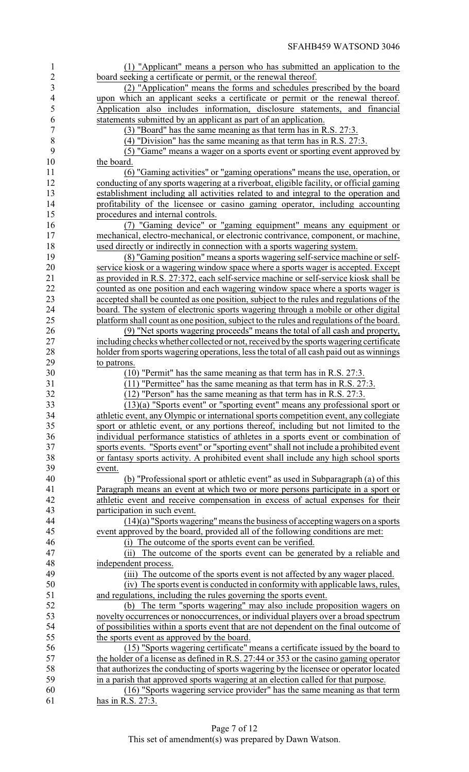| $\mathbf{1}$             | (1) "Applicant" means a person who has submitted an application to the                                                                                                      |
|--------------------------|-----------------------------------------------------------------------------------------------------------------------------------------------------------------------------|
| $\overline{2}$           | board seeking a certificate or permit, or the renewal thereof.                                                                                                              |
| 3                        | (2) "Application" means the forms and schedules prescribed by the board                                                                                                     |
| $\overline{\mathcal{L}}$ | upon which an applicant seeks a certificate or permit or the renewal thereof.                                                                                               |
| 5                        | Application also includes information, disclosure statements, and financial                                                                                                 |
| 6                        | statements submitted by an applicant as part of an application.                                                                                                             |
| 7                        | (3) "Board" has the same meaning as that term has in R.S. 27:3.                                                                                                             |
| 8                        | $(4)$ "Division" has the same meaning as that term has in R.S. 27:3.                                                                                                        |
| 9<br>10                  | (5) "Game" means a wager on a sports event or sporting event approved by                                                                                                    |
| 11                       | the board.<br>(6) "Gaming activities" or "gaming operations" means the use, operation, or                                                                                   |
| 12                       | conducting of any sports wagering at a riverboat, eligible facility, or official gaming                                                                                     |
| 13                       | establishment including all activities related to and integral to the operation and                                                                                         |
| 14                       | profitability of the licensee or casino gaming operator, including accounting                                                                                               |
| 15                       | procedures and internal controls.                                                                                                                                           |
| 16                       | (7) "Gaming device" or "gaming equipment" means any equipment or                                                                                                            |
| 17                       | mechanical, electro-mechanical, or electronic contrivance, component, or machine,                                                                                           |
| 18                       | used directly or indirectly in connection with a sports wagering system.                                                                                                    |
| 19                       | (8) "Gaming position" means a sports wagering self-service machine or self-                                                                                                 |
| 20                       | service kiosk or a wagering window space where a sports wager is accepted. Except                                                                                           |
| 21                       | as provided in R.S. 27:372, each self-service machine or self-service kiosk shall be                                                                                        |
| 22                       | counted as one position and each wagering window space where a sports wager is                                                                                              |
| 23                       | accepted shall be counted as one position, subject to the rules and regulations of the                                                                                      |
| 24                       | board. The system of electronic sports wagering through a mobile or other digital                                                                                           |
| 25                       | platform shall count as one position, subject to the rules and regulations of the board.                                                                                    |
| 26                       | (9) "Net sports wagering proceeds" means the total of all cash and property,                                                                                                |
| 27                       | including checks whether collected or not, received by the sports wagering certificate                                                                                      |
| 28                       | holder from sports wagering operations, less the total of all cash paid out as winnings                                                                                     |
| 29                       | to patrons.                                                                                                                                                                 |
| 30                       | $(10)$ "Permit" has the same meaning as that term has in R.S. 27:3.                                                                                                         |
| 31                       | $(11)$ "Permittee" has the same meaning as that term has in R.S. 27:3.                                                                                                      |
| 32                       | $(12)$ "Person" has the same meaning as that term has in R.S. 27:3.                                                                                                         |
| 33                       | (13)(a) "Sports event" or "sporting event" means any professional sport or                                                                                                  |
| 34<br>35                 | athletic event, any Olympic or international sports competition event, any collegiate<br>sport or athletic event, or any portions thereof, including but not limited to the |
| 36                       | individual performance statistics of athletes in a sports event or combination of                                                                                           |
| 37                       | sports events. "Sports event" or "sporting event" shall not include a prohibited event                                                                                      |
| 38                       | or fantasy sports activity. A prohibited event shall include any high school sports                                                                                         |
| 39                       | event.                                                                                                                                                                      |
| 40                       | (b) "Professional sport or athletic event" as used in Subparagraph (a) of this                                                                                              |
| 41                       | Paragraph means an event at which two or more persons participate in a sport or                                                                                             |
| 42                       | athletic event and receive compensation in excess of actual expenses for their                                                                                              |
| 43                       | participation in such event.                                                                                                                                                |
| 44                       | $(14)(a)$ "Sports wagering" means the business of accepting wagers on a sports                                                                                              |
| 45                       | event approved by the board, provided all of the following conditions are met:                                                                                              |
| 46                       | (i) The outcome of the sports event can be verified.                                                                                                                        |
| 47                       | The outcome of the sports event can be generated by a reliable and<br>(ii)                                                                                                  |
| 48                       | independent process.                                                                                                                                                        |
| 49                       | (iii) The outcome of the sports event is not affected by any wager placed.                                                                                                  |
| 50                       | (iv) The sports event is conducted in conformity with applicable laws, rules,                                                                                               |
| 51                       | and regulations, including the rules governing the sports event.                                                                                                            |
| 52                       | (b) The term "sports wagering" may also include proposition wagers on                                                                                                       |
| 53                       | novelty occurrences or nonoccurrences, or individual players over a broad spectrum                                                                                          |
| 54                       | of possibilities within a sports event that are not dependent on the final outcome of                                                                                       |
| 55                       | the sports event as approved by the board.                                                                                                                                  |
| 56                       | (15) "Sports wagering certificate" means a certificate issued by the board to                                                                                               |
| 57                       | the holder of a license as defined in R.S. 27:44 or 353 or the casino gaming operator                                                                                       |
| 58                       | that authorizes the conducting of sports wagering by the licensee or operator located                                                                                       |
| 59<br>60                 | in a parish that approved sports wagering at an election called for that purpose.<br>(16) "Sports wagering service provider" has the same meaning as that term              |
| 61                       | has in R.S. 27:3.                                                                                                                                                           |
|                          |                                                                                                                                                                             |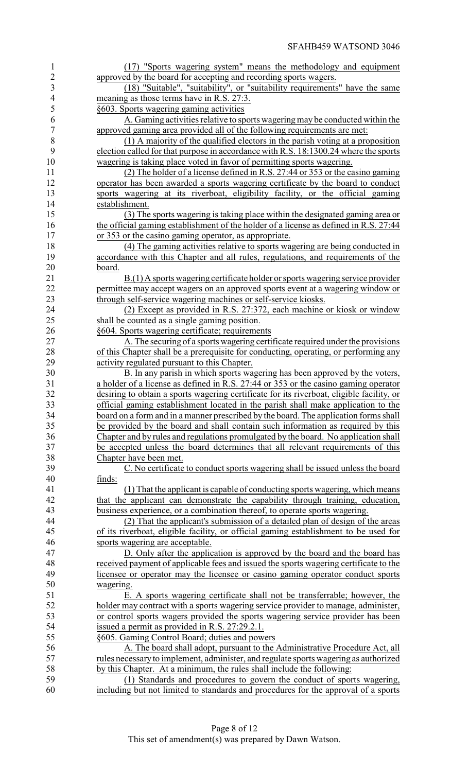| 1                        | (17) "Sports wagering system" means the methodology and equipment                         |
|--------------------------|-------------------------------------------------------------------------------------------|
|                          |                                                                                           |
| $\overline{c}$           | approved by the board for accepting and recording sports wagers.                          |
| 3                        | (18) "Suitable", "suitability", or "suitability requirements" have the same               |
| $\overline{\mathcal{L}}$ | meaning as those terms have in R.S. 27:3.                                                 |
| 5                        | §603. Sports wagering gaming activities                                                   |
| 6                        | A. Gaming activities relative to sports wagering may be conducted within the              |
| $\boldsymbol{7}$         | approved gaming area provided all of the following requirements are met:                  |
| 8                        | (1) A majority of the qualified electors in the parish voting at a proposition            |
|                          |                                                                                           |
| 9                        | election called for that purpose in accordance with R.S. 18:1300.24 where the sports      |
| 10                       | wagering is taking place voted in favor of permitting sports wagering.                    |
| 11                       | (2) The holder of a license defined in R.S. 27:44 or 353 or the casino gaming             |
| 12                       | operator has been awarded a sports wagering certificate by the board to conduct           |
| 13                       | sports wagering at its riverboat, eligibility facility, or the official gaming            |
| 14                       | establishment.                                                                            |
|                          |                                                                                           |
| 15                       | (3) The sports wagering is taking place within the designated gaming area or              |
| 16                       | the official gaming establishment of the holder of a license as defined in R.S. 27:44     |
| 17                       | or 353 or the casino gaming operator, as appropriate.                                     |
| 18                       | (4) The gaming activities relative to sports wagering are being conducted in              |
| 19                       | accordance with this Chapter and all rules, regulations, and requirements of the          |
| 20                       | board.                                                                                    |
|                          |                                                                                           |
| 21                       | B.(1) A sports wagering certificate holder or sports wagering service provider            |
| 22                       | permittee may accept wagers on an approved sports event at a wagering window or           |
| 23                       | through self-service wagering machines or self-service kiosks.                            |
| 24                       | (2) Except as provided in R.S. 27:372, each machine or kiosk or window                    |
| 25                       | shall be counted as a single gaming position.                                             |
| 26                       | §604. Sports wagering certificate; requirements                                           |
| 27                       | A. The securing of a sports wagering certificate required under the provisions            |
|                          |                                                                                           |
| 28                       | of this Chapter shall be a prerequisite for conducting, operating, or performing any      |
| 29                       | activity regulated pursuant to this Chapter.                                              |
| 30                       | B. In any parish in which sports wagering has been approved by the voters,                |
| 31                       | a holder of a license as defined in R.S. 27:44 or 353 or the casino gaming operator       |
| 32                       | desiring to obtain a sports wagering certificate for its riverboat, eligible facility, or |
| 33                       | official gaming establishment located in the parish shall make application to the         |
| 34                       | board on a form and in a manner prescribed by the board. The application forms shall      |
| 35                       | be provided by the board and shall contain such information as required by this           |
| 36                       |                                                                                           |
|                          | Chapter and by rules and regulations promulgated by the board. No application shall       |
| 37                       | be accepted unless the board determines that all relevant requirements of this            |
| 38                       | Chapter have been met.                                                                    |
| 39                       | C. No certificate to conduct sports wagering shall be issued unless the board             |
| 40                       | finds:                                                                                    |
| 41                       | (1) That the applicant is capable of conducting sports wagering, which means              |
| 42                       | that the applicant can demonstrate the capability through training, education,            |
| 43                       |                                                                                           |
|                          | business experience, or a combination thereof, to operate sports wagering.                |
| 44                       | (2) That the applicant's submission of a detailed plan of design of the areas             |
| 45                       | of its riverboat, eligible facility, or official gaming establishment to be used for      |
| 46                       | sports wagering are acceptable.                                                           |
| 47                       | D. Only after the application is approved by the board and the board has                  |
| 48                       | received payment of applicable fees and issued the sports wagering certificate to the     |
| 49                       | licensee or operator may the licensee or casino gaming operator conduct sports            |
|                          |                                                                                           |
| 50                       | wagering.                                                                                 |
| 51                       | E. A sports wagering certificate shall not be transferrable; however, the                 |
| 52                       | holder may contract with a sports wagering service provider to manage, administer,        |
| 53                       | or control sports wagers provided the sports wagering service provider has been           |
| 54                       | issued a permit as provided in R.S. 27:29.2.1.                                            |
| 55                       | §605. Gaming Control Board; duties and powers                                             |
| 56                       | A. The board shall adopt, pursuant to the Administrative Procedure Act, all               |
|                          |                                                                                           |
| 57                       | rules necessary to implement, administer, and regulate sports wagering as authorized      |
| 58                       | by this Chapter. At a minimum, the rules shall include the following:                     |
| 59                       | (1) Standards and procedures to govern the conduct of sports wagering,                    |
| 60                       | including but not limited to standards and procedures for the approval of a sports        |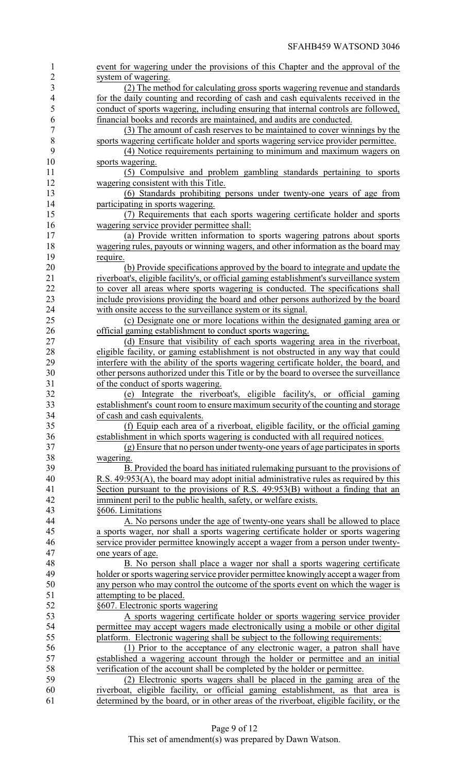| 1                        | event for wagering under the provisions of this Chapter and the approval of the                                                                                           |
|--------------------------|---------------------------------------------------------------------------------------------------------------------------------------------------------------------------|
| $\overline{c}$           | system of wagering.                                                                                                                                                       |
| 3                        | (2) The method for calculating gross sports wagering revenue and standards                                                                                                |
| $\overline{\mathcal{A}}$ | for the daily counting and recording of cash and cash equivalents received in the                                                                                         |
| 5                        | conduct of sports wagering, including ensuring that internal controls are followed,                                                                                       |
| 6                        | financial books and records are maintained, and audits are conducted.                                                                                                     |
| 7                        | (3) The amount of cash reserves to be maintained to cover winnings by the                                                                                                 |
| 8                        | sports wagering certificate holder and sports wagering service provider permittee.                                                                                        |
| 9                        | (4) Notice requirements pertaining to minimum and maximum wagers on                                                                                                       |
| 10                       | sports wagering.                                                                                                                                                          |
| 11                       | (5) Compulsive and problem gambling standards pertaining to sports                                                                                                        |
| 12                       | wagering consistent with this Title.                                                                                                                                      |
| 13                       | (6) Standards prohibiting persons under twenty-one years of age from                                                                                                      |
| 14                       | participating in sports wagering.                                                                                                                                         |
| 15                       | (7) Requirements that each sports wagering certificate holder and sports                                                                                                  |
| 16                       | wagering service provider permittee shall:                                                                                                                                |
| 17                       | (a) Provide written information to sports wagering patrons about sports                                                                                                   |
| 18                       | wagering rules, payouts or winning wagers, and other information as the board may                                                                                         |
| 19                       | require.                                                                                                                                                                  |
| 20                       | (b) Provide specifications approved by the board to integrate and update the                                                                                              |
| 21                       | riverboat's, eligible facility's, or official gaming establishment's surveillance system                                                                                  |
| 22                       | to cover all areas where sports wagering is conducted. The specifications shall                                                                                           |
| 23                       | include provisions providing the board and other persons authorized by the board                                                                                          |
| 24                       | with onsite access to the surveillance system or its signal.                                                                                                              |
| 25                       | (c) Designate one or more locations within the designated gaming area or                                                                                                  |
| 26                       | official gaming establishment to conduct sports wagering.                                                                                                                 |
| 27                       | (d) Ensure that visibility of each sports wagering area in the riverboat,                                                                                                 |
| 28                       | eligible facility, or gaming establishment is not obstructed in any way that could                                                                                        |
| 29                       | interfere with the ability of the sports wagering certificate holder, the board, and                                                                                      |
| 30                       | other persons authorized under this Title or by the board to oversee the surveillance                                                                                     |
| 31                       | of the conduct of sports wagering.                                                                                                                                        |
| 32                       |                                                                                                                                                                           |
| 33                       | (e) Integrate the riverboat's, eligible facility's, or official gaming<br>establishment's count room to ensure maximum security of the counting and storage               |
|                          |                                                                                                                                                                           |
| 34                       | of cash and cash equivalents.                                                                                                                                             |
| 35                       | (f) Equip each area of a riverboat, eligible facility, or the official gaming                                                                                             |
| 36<br>37                 | establishment in which sports wagering is conducted with all required notices.                                                                                            |
|                          | (g) Ensure that no person under twenty-one years of age participates in sports                                                                                            |
| 38                       | wagering.                                                                                                                                                                 |
| 39                       | B. Provided the board has initiated rulemaking pursuant to the provisions of                                                                                              |
| 40                       | R.S. 49:953(A), the board may adopt initial administrative rules as required by this                                                                                      |
| 41                       | Section pursuant to the provisions of R.S. $49:953(B)$ without a finding that an                                                                                          |
| 42                       | imminent peril to the public health, safety, or welfare exists.                                                                                                           |
| 43                       | §606. Limitations                                                                                                                                                         |
| 44                       | A. No persons under the age of twenty-one years shall be allowed to place                                                                                                 |
| 45                       | a sports wager, nor shall a sports wagering certificate holder or sports wagering                                                                                         |
| 46                       | service provider permittee knowingly accept a wager from a person under twenty-                                                                                           |
| 47                       | one years of age.                                                                                                                                                         |
| 48                       | B. No person shall place a wager nor shall a sports wagering certificate                                                                                                  |
| 49                       | holder or sports wagering service provider permittee knowingly accept a wager from                                                                                        |
| 50                       | any person who may control the outcome of the sports event on which the wager is                                                                                          |
| 51                       | attempting to be placed.                                                                                                                                                  |
| 52                       | §607. Electronic sports wagering                                                                                                                                          |
| 53                       | A sports wagering certificate holder or sports wagering service provider                                                                                                  |
| 54                       | permittee may accept wagers made electronically using a mobile or other digital                                                                                           |
| 55                       | platform. Electronic wagering shall be subject to the following requirements:                                                                                             |
| 56                       | (1) Prior to the acceptance of any electronic wager, a patron shall have                                                                                                  |
| 57                       | established a wagering account through the holder or permittee and an initial                                                                                             |
| 58                       | verification of the account shall be completed by the holder or permittee.                                                                                                |
| 59                       | (2) Electronic sports wagers shall be placed in the gaming area of the                                                                                                    |
| 60                       |                                                                                                                                                                           |
| 61                       | riverboat, eligible facility, or official gaming establishment, as that area is<br>determined by the board, or in other areas of the riverboat, eligible facility, or the |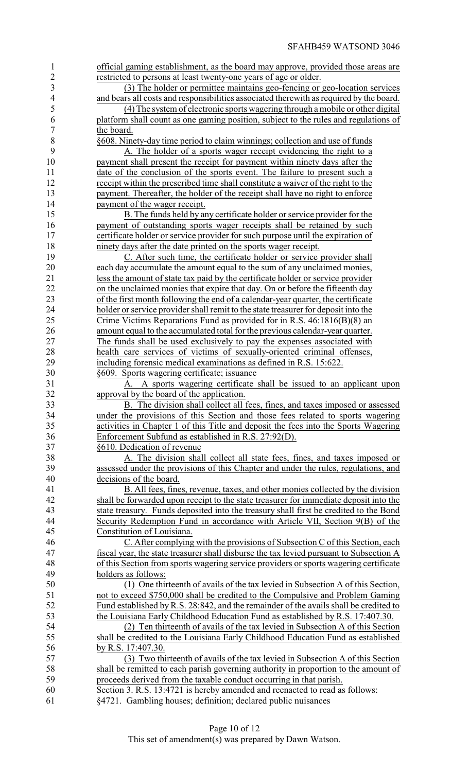| $\mathbf{1}$             | official gaming establishment, as the board may approve, provided those areas are                                                            |
|--------------------------|----------------------------------------------------------------------------------------------------------------------------------------------|
| $\overline{2}$           | restricted to persons at least twenty-one years of age or older.                                                                             |
| 3                        | (3) The holder or permittee maintains geo-fencing or geo-location services                                                                   |
| $\overline{\mathcal{A}}$ | and bears all costs and responsibilities associated therewith as required by the board.                                                      |
| 5                        | (4) The system of electronic sports wagering through a mobile or other digital                                                               |
| 6                        | platform shall count as one gaming position, subject to the rules and regulations of                                                         |
| $\overline{7}$           | the board.                                                                                                                                   |
| $8\,$                    | §608. Ninety-day time period to claim winnings; collection and use of funds                                                                  |
| 9                        | A. The holder of a sports wager receipt evidencing the right to a                                                                            |
| 10                       | payment shall present the receipt for payment within ninety days after the                                                                   |
| 11                       | date of the conclusion of the sports event. The failure to present such a                                                                    |
| 12                       | receipt within the prescribed time shall constitute a waiver of the right to the                                                             |
| 13                       | payment. Thereafter, the holder of the receipt shall have no right to enforce                                                                |
| 14                       | payment of the wager receipt.                                                                                                                |
| 15                       | B. The funds held by any certificate holder or service provider for the                                                                      |
| 16                       | payment of outstanding sports wager receipts shall be retained by such                                                                       |
| 17                       | certificate holder or service provider for such purpose until the expiration of                                                              |
| 18                       | ninety days after the date printed on the sports wager receipt.                                                                              |
| 19                       | C. After such time, the certificate holder or service provider shall                                                                         |
| 20                       | each day accumulate the amount equal to the sum of any unclaimed monies,                                                                     |
| 21                       | less the amount of state tax paid by the certificate holder or service provider                                                              |
| 22                       | on the unclaimed monies that expire that day. On or before the fifteenth day                                                                 |
| 23                       | of the first month following the end of a calendar-year quarter, the certificate                                                             |
| 24                       | holder or service provider shall remit to the state treasurer for deposit into the                                                           |
| 25                       | Crime Victims Reparations Fund as provided for in R.S. 46:1816(B)(8) an                                                                      |
| 26                       | amount equal to the accumulated total for the previous calendar-year quarter.                                                                |
| 27                       | The funds shall be used exclusively to pay the expenses associated with                                                                      |
| 28                       |                                                                                                                                              |
| 29                       | health care services of victims of sexually-oriented criminal offenses,                                                                      |
| 30                       | including forensic medical examinations as defined in R.S. 15:622.                                                                           |
| 31                       | §609. Sports wagering certificate; issuance                                                                                                  |
| 32                       | A sports wagering certificate shall be issued to an applicant upon<br>approval by the board of the application.                              |
| 33                       | B. The division shall collect all fees, fines, and taxes imposed or assessed                                                                 |
| 34                       | under the provisions of this Section and those fees related to sports wagering                                                               |
| 35                       | activities in Chapter 1 of this Title and deposit the fees into the Sports Wagering                                                          |
|                          |                                                                                                                                              |
|                          |                                                                                                                                              |
| 36                       | Enforcement Subfund as established in R.S. 27:92(D).                                                                                         |
| 37                       | §610. Dedication of revenue                                                                                                                  |
| 38                       | A. The division shall collect all state fees, fines, and taxes imposed or                                                                    |
| 39                       | assessed under the provisions of this Chapter and under the rules, regulations, and                                                          |
| 40                       | decisions of the board.                                                                                                                      |
| 41                       | B. All fees, fines, revenue, taxes, and other monies collected by the division                                                               |
| 42                       | shall be forwarded upon receipt to the state treasurer for immediate deposit into the                                                        |
| 43                       | state treasury. Funds deposited into the treasury shall first be credited to the Bond                                                        |
| 44                       | Security Redemption Fund in accordance with Article VII, Section 9(B) of the                                                                 |
| 45                       | Constitution of Louisiana.                                                                                                                   |
| 46                       | C. After complying with the provisions of Subsection C of this Section, each                                                                 |
| 47                       | fiscal year, the state treasurer shall disburse the tax levied pursuant to Subsection A                                                      |
| 48                       | of this Section from sports wagering service providers or sports wagering certificate                                                        |
| 49                       | holders as follows:                                                                                                                          |
| 50                       | (1) One thirteenth of avails of the tax levied in Subsection A of this Section,                                                              |
| 51                       | not to exceed \$750,000 shall be credited to the Compulsive and Problem Gaming                                                               |
| 52                       | Fund established by R.S. 28:842, and the remainder of the avails shall be credited to                                                        |
| 53                       | the Louisiana Early Childhood Education Fund as established by R.S. 17:407.30.                                                               |
| 54                       | (2) Ten thirteenth of avails of the tax levied in Subsection A of this Section                                                               |
| 55                       | shall be credited to the Louisiana Early Childhood Education Fund as established                                                             |
| 56                       | by R.S. 17:407.30.                                                                                                                           |
| 57                       | (3) Two thirteenth of avails of the tax levied in Subsection A of this Section                                                               |
| 58                       | shall be remitted to each parish governing authority in proportion to the amount of                                                          |
| 59                       | proceeds derived from the taxable conduct occurring in that parish.                                                                          |
| 60<br>61                 | Section 3. R.S. 13:4721 is hereby amended and reenacted to read as follows:<br>§4721. Gambling houses; definition; declared public nuisances |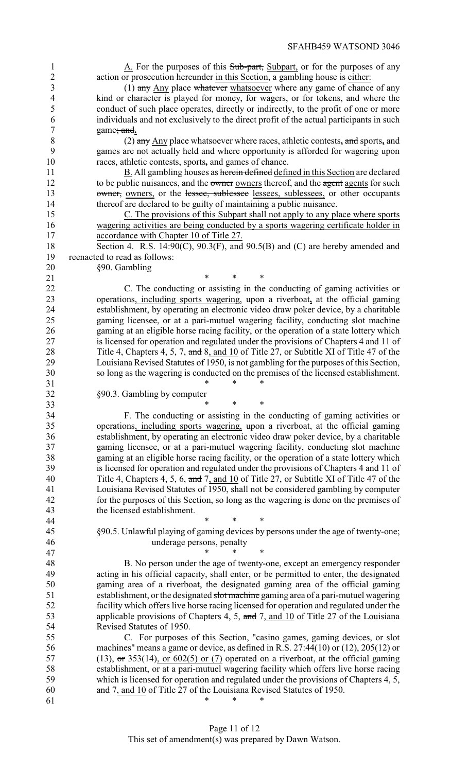1 A. For the purposes of this Sub-part, Subpart, or for the purposes of any action or prosecution hereunder in this Section, a gambling house is either:

3 (1) any Any place whatever whatsoever where any game of chance of any kind or character is played for money, for wagers, or for tokens, and where the conduct of such place operates, directly or indirectly, to the profit of one or more individuals and not exclusively to the direct profit of the actual participants in such game; and**.**

 (2) any Any place whatsoever where races, athletic contests**,** and sports**,** and games are not actually held and where opportunity is afforded for wagering upon races, athletic contests, sports**,** and games of chance.

11 B. All gambling houses as herein defined defined in this Section are declared 12 to be public nuisances, and the owner owners thereof, and the agent agents for such 13 owner, owners, or the lessee, sublessee lessees, sublessees, or other occupants thereof are declared to be guilty of maintaining a public nuisance.

 C. The provisions of this Subpart shall not apply to any place where sports wagering activities are being conducted by a sports wagering certificate holder in accordance with Chapter 10 of Title 27.

18 Section 4. R.S. 14:90(C), 90.3(F), and 90.5(B) and (C) are hereby amended and reenacted to read as follows:

- §90. Gambling
- $*$  \* \* \*

 C. The conducting or assisting in the conducting of gaming activities or operations, including sports wagering, upon a riverboat**,** at the official gaming 24 establishment, by operating an electronic video draw poker device, by a charitable<br>25 eaming licensee, or at a pari-mutuel wagering facility, conducting slot machine gaming licensee, or at a pari-mutuel wagering facility, conducting slot machine gaming at an eligible horse racing facility, or the operation of a state lottery which is licensed for operation and regulated under the provisions of Chapters 4 and 11 of 28 Title 4, Chapters 4, 5, 7, and 8, and 10 of Title 27, or Subtitle XI of Title 47 of the Louisiana Revised Statutes of 1950, is not gambling for the purposes of this Section, so long as the wagering is conducted on the premises of the licensed establishment.

§90.3. Gambling by computer

 $*$  \* \* \*

44 \* \* \* \* \*

33 \* \* \* \*

 F. The conducting or assisting in the conducting of gaming activities or operations, including sports wagering, upon a riverboat, at the official gaming establishment, by operating an electronic video draw poker device, by a charitable gaming licensee, or at a pari-mutuel wagering facility, conducting slot machine gaming at an eligible horse racing facility, or the operation of a state lottery which is licensed for operation and regulated under the provisions of Chapters 4 and 11 of 40 Title 4, Chapters 4, 5, 6, and 7, and 10 of Title 27, or Subtitle XI of Title 47 of the Louisiana Revised Statutes of 1950, shall not be considered gambling by computer for the purposes of this Section, so long as the wagering is done on the premises of the licensed establishment.

 §90.5. Unlawful playing of gaming devices by persons under the age of twenty-one; underage persons, penalty

47 \* \* \* \*

 B. No person under the age of twenty-one, except an emergency responder acting in his official capacity, shall enter, or be permitted to enter, the designated gaming area of a riverboat, the designated gaming area of the official gaming establishment, or the designated slot machine gaming area of a pari-mutuel wagering facility which offers live horse racing licensed for operation and regulated under the 53 applicable provisions of Chapters 4, 5, and 7, and 10 of Title 27 of the Louisiana Revised Statutes of 1950.

 C. For purposes of this Section, "casino games, gaming devices, or slot machines" means a game or device, as defined in R.S. 27:44(10) or (12), 205(12) or 57 (13),  $\sigma$  353(14), or 602(5) or (7) operated on a riverboat, at the official gaming establishment, or at a pari-mutuel wagering facility which offers live horse racing which is licensed for operation and regulated under the provisions of Chapters 4, 5, and 7, and 10 of Title 27 of the Louisiana Revised Statutes of 1950. 61 \* \* \* \*